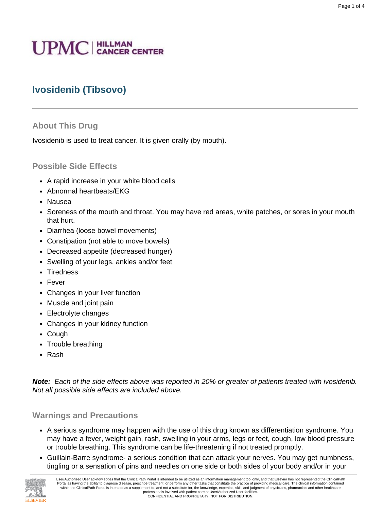# **UPMC** | HILLMAN

# **Ivosidenib (Tibsovo)**

## **About This Drug**

Ivosidenib is used to treat cancer. It is given orally (by mouth).

## **Possible Side Effects**

- A rapid increase in your white blood cells
- Abnormal heartbeats/EKG
- Nausea
- Soreness of the mouth and throat. You may have red areas, white patches, or sores in your mouth that hurt.
- Diarrhea (loose bowel movements)
- Constipation (not able to move bowels)
- Decreased appetite (decreased hunger)
- Swelling of your legs, ankles and/or feet
- Tiredness
- Fever
- Changes in your liver function
- Muscle and joint pain
- Electrolyte changes
- Changes in your kidney function
- Cough
- Trouble breathing
- Rash

**Note:** Each of the side effects above was reported in 20% or greater of patients treated with ivosidenib. Not all possible side effects are included above.

## **Warnings and Precautions**

- A serious syndrome may happen with the use of this drug known as differentiation syndrome. You may have a fever, weight gain, rash, swelling in your arms, legs or feet, cough, low blood pressure or trouble breathing. This syndrome can be life-threatening if not treated promptly.
- Guillain-Barre syndrome- a serious condition that can attack your nerves. You may get numbness, tingling or a sensation of pins and needles on one side or both sides of your body and/or in your

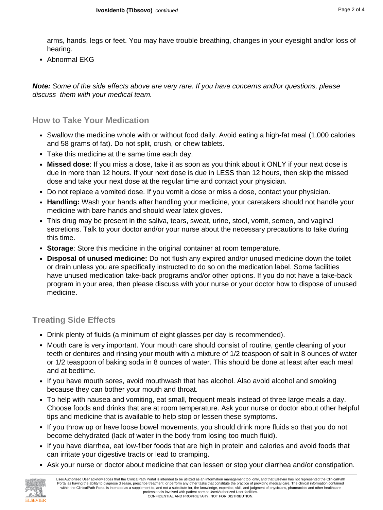arms, hands, legs or feet. You may have trouble breathing, changes in your eyesight and/or loss of hearing.

• Abnormal EKG

**Note:** Some of the side effects above are very rare. If you have concerns and/or questions, please discuss them with your medical team.

#### **How to Take Your Medication**

- Swallow the medicine whole with or without food daily. Avoid eating a high-fat meal (1,000 calories and 58 grams of fat). Do not split, crush, or chew tablets.
- Take this medicine at the same time each day.
- **Missed dose**: If you miss a dose, take it as soon as you think about it ONLY if your next dose is due in more than 12 hours. If your next dose is due in LESS than 12 hours, then skip the missed dose and take your next dose at the regular time and contact your physician.
- Do not replace a vomited dose. If you vomit a dose or miss a dose, contact your physician.
- **Handling:** Wash your hands after handling your medicine, your caretakers should not handle your medicine with bare hands and should wear latex gloves.
- This drug may be present in the saliva, tears, sweat, urine, stool, vomit, semen, and vaginal secretions. Talk to your doctor and/or your nurse about the necessary precautions to take during this time.
- **Storage**: Store this medicine in the original container at room temperature.
- **Disposal of unused medicine:** Do not flush any expired and/or unused medicine down the toilet or drain unless you are specifically instructed to do so on the medication label. Some facilities have unused medication take-back programs and/or other options. If you do not have a take-back program in your area, then please discuss with your nurse or your doctor how to dispose of unused medicine.

## **Treating Side Effects**

- Drink plenty of fluids (a minimum of eight glasses per day is recommended).
- Mouth care is very important. Your mouth care should consist of routine, gentle cleaning of your teeth or dentures and rinsing your mouth with a mixture of 1/2 teaspoon of salt in 8 ounces of water or 1/2 teaspoon of baking soda in 8 ounces of water. This should be done at least after each meal and at bedtime.
- If you have mouth sores, avoid mouthwash that has alcohol. Also avoid alcohol and smoking because they can bother your mouth and throat.
- To help with nausea and vomiting, eat small, frequent meals instead of three large meals a day. Choose foods and drinks that are at room temperature. Ask your nurse or doctor about other helpful tips and medicine that is available to help stop or lessen these symptoms.
- If you throw up or have loose bowel movements, you should drink more fluids so that you do not become dehydrated (lack of water in the body from losing too much fluid).
- If you have diarrhea, eat low-fiber foods that are high in protein and calories and avoid foods that can irritate your digestive tracts or lead to cramping.
- Ask your nurse or doctor about medicine that can lessen or stop your diarrhea and/or constipation.

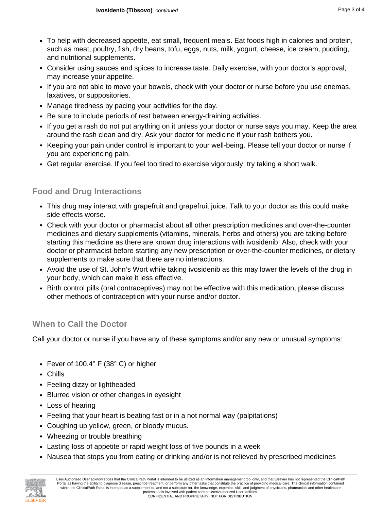- To help with decreased appetite, eat small, frequent meals. Eat foods high in calories and protein, such as meat, poultry, fish, dry beans, tofu, eggs, nuts, milk, yogurt, cheese, ice cream, pudding, and nutritional supplements.
- Consider using sauces and spices to increase taste. Daily exercise, with your doctor's approval, may increase your appetite.
- If you are not able to move your bowels, check with your doctor or nurse before you use enemas, laxatives, or suppositories.
- Manage tiredness by pacing your activities for the day.
- Be sure to include periods of rest between energy-draining activities.
- If you get a rash do not put anything on it unless your doctor or nurse says you may. Keep the area around the rash clean and dry. Ask your doctor for medicine if your rash bothers you.
- Keeping your pain under control is important to your well-being. Please tell your doctor or nurse if you are experiencing pain.
- Get regular exercise. If you feel too tired to exercise vigorously, try taking a short walk.

# **Food and Drug Interactions**

- This drug may interact with grapefruit and grapefruit juice. Talk to your doctor as this could make side effects worse.
- Check with your doctor or pharmacist about all other prescription medicines and over-the-counter medicines and dietary supplements (vitamins, minerals, herbs and others) you are taking before starting this medicine as there are known drug interactions with ivosidenib. Also, check with your doctor or pharmacist before starting any new prescription or over-the-counter medicines, or dietary supplements to make sure that there are no interactions.
- Avoid the use of St. John's Wort while taking ivosidenib as this may lower the levels of the drug in your body, which can make it less effective.
- Birth control pills (oral contraceptives) may not be effective with this medication, please discuss other methods of contraception with your nurse and/or doctor.

## **When to Call the Doctor**

Call your doctor or nurse if you have any of these symptoms and/or any new or unusual symptoms:

- Fever of 100.4° F (38° C) or higher
- Chills
- Feeling dizzy or lightheaded
- Blurred vision or other changes in eyesight
- Loss of hearing
- Feeling that your heart is beating fast or in a not normal way (palpitations)
- Coughing up yellow, green, or bloody mucus.
- Wheezing or trouble breathing
- Lasting loss of appetite or rapid weight loss of five pounds in a week
- Nausea that stops you from eating or drinking and/or is not relieved by prescribed medicines